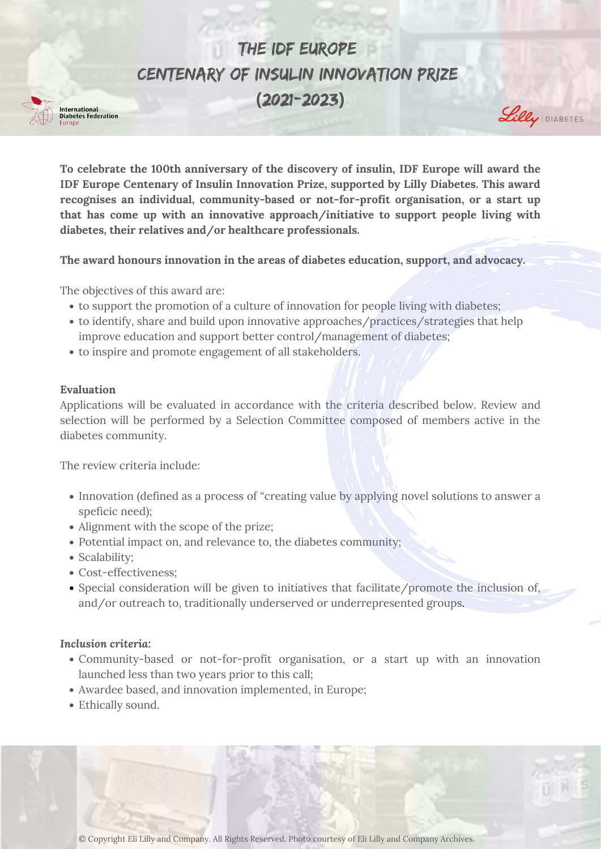- to support the promotion of a culture of innovation for people living with diabetes;
- to identify, share and build upon innovative approaches/practices/strategies that help improve education and support better control/management of diabetes;
- to inspire and promote engagement of all stakeholders.

**To celebrate the 100th anniversary of the discovery of insulin, IDF Europe will award the IDF Europe Centenary of Insulin Innovation Prize, supported by Lilly Diabetes. This award recognises an individual, community-based or not-for-profit organisation, or a start up that has come up with an innovative approach/initiative to support people living with diabetes, their relatives and/or healthcare professionals.**

- Innovation (defined as a process of "creating value by applying novel solutions to answer a speficic need);
- Alignment with the scope of the prize;
- Potential impact on, and relevance to, the diabetes community;
- Scalability;
- Cost-effectiveness;
- Special consideration will be given to initiatives that facilitate/promote the inclusion of, and/or outreach to, traditionally underserved or underrepresented groups.

**The award honours innovation in the areas of diabetes education, support, and advocacy.**

- Community-based or not-for-profit organisation, or a start up with an innovation launched less than two years prior to this call;
- Awardee based, and innovation implemented, in Europe;
- Ethically sound.

The objectives of this award are:





#### **Evaluation**

Applications will be evaluated in accordance with the criteria described below. Review and selection will be performed by a Selection Committee composed of members active in the diabetes community.

The review criteria include:

## *Inclusion criteria:*